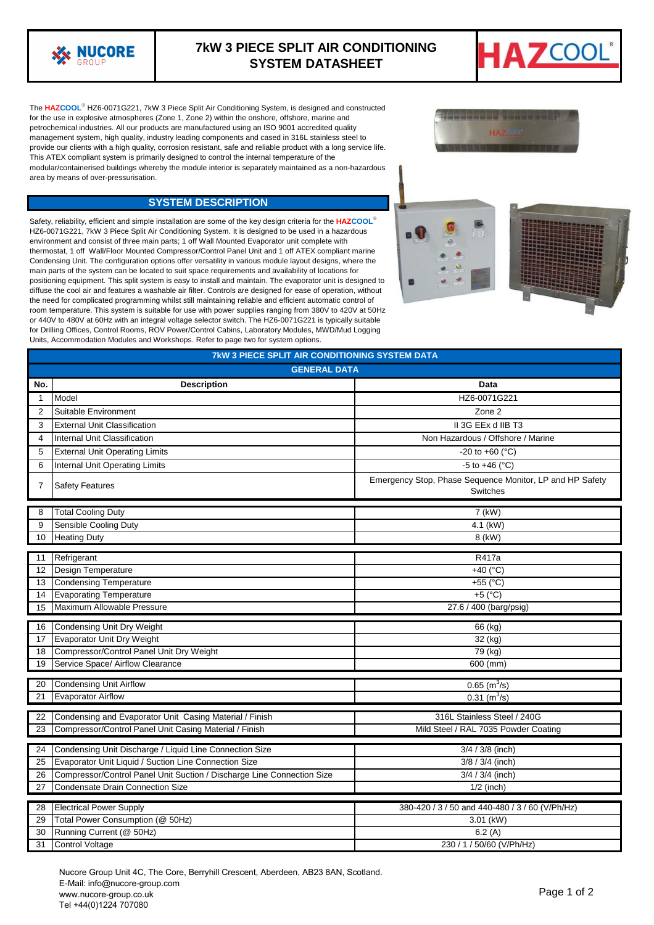

## **7kW 3 PIECE SPLIT AIR CONDITIONING SYSTEM DATASHEET**



The **HAZCOOL®** HZ6-0071G221, 7kW 3 Piece Split Air Conditioning System, is designed and constructed for the use in explosive atmospheres (Zone 1, Zone 2) within the onshore, offshore, marine and petrochemical industries. All our products are manufactured using an ISO 9001 accredited quality management system, high quality, industry leading components and cased in 316L stainless steel to provide our clients with a high quality, corrosion resistant, safe and reliable product with a long service life. This ATEX compliant system is primarily designed to control the internal temperature of the modular/containerised buildings whereby the module interior is separately maintained as a non-hazardous area by means of over-pressurisation.

## **SYSTEM DESCRIPTION**

Safety, reliability, efficient and simple installation are some of the key design criteria for the **HAZCOOL®**  HZ6-0071G221, 7kW 3 Piece Split Air Conditioning System. It is designed to be used in a hazardous environment and consist of three main parts; 1 off Wall Mounted Evaporator unit complete with thermostat, 1 off Wall/Floor Mounted Compressor/Control Panel Unit and 1 off ATEX compliant marine Condensing Unit. The configuration options offer versatility in various module layout designs, where the main parts of the system can be located to suit space requirements and availability of locations for positioning equipment. This split system is easy to install and maintain. The evaporator unit is designed to diffuse the cool air and features a washable air filter. Controls are designed for ease of operation, without the need for complicated programming whilst still maintaining reliable and efficient automatic control of room temperature. This system is suitable for use with power supplies ranging from 380V to 420V at 50Hz or 440V to 480V at 60Hz with an integral voltage selector switch. The HZ6-0071G221 is typically suitable for Drilling Offices, Control Rooms, ROV Power/Control Cabins, Laboratory Modules, MWD/Mud Logging Units, Accommodation Modules and Workshops. Refer to page two for system options.





| <b>7kW 3 PIECE SPLIT AIR CONDITIONING SYSTEM DATA</b> |                                                                                                                   |                                                                      |
|-------------------------------------------------------|-------------------------------------------------------------------------------------------------------------------|----------------------------------------------------------------------|
| <b>GENERAL DATA</b>                                   |                                                                                                                   |                                                                      |
| No.                                                   | <b>Description</b>                                                                                                | Data                                                                 |
| 1                                                     | Model                                                                                                             | HZ6-0071G221                                                         |
| 2                                                     | Suitable Environment                                                                                              | Zone 2                                                               |
| 3                                                     | <b>External Unit Classification</b>                                                                               | II 3G EEx d IIB T3                                                   |
| 4                                                     | <b>Internal Unit Classification</b>                                                                               | Non Hazardous / Offshore / Marine                                    |
| 5                                                     | <b>External Unit Operating Limits</b>                                                                             | -20 to $+60$ ( $^{\circ}$ C)                                         |
| 6                                                     | Internal Unit Operating Limits                                                                                    | $-5$ to $+46$ ( $^{\circ}$ C)                                        |
| 7                                                     | <b>Safety Features</b>                                                                                            | Emergency Stop, Phase Sequence Monitor, LP and HP Safety<br>Switches |
| 8                                                     | <b>Total Cooling Duty</b>                                                                                         | 7 (kW)                                                               |
| 9                                                     | Sensible Cooling Duty                                                                                             | $4.1$ (kW)                                                           |
| 10                                                    | <b>Heating Duty</b>                                                                                               | 8 (kW)                                                               |
| 11                                                    | Refrigerant                                                                                                       | R417a                                                                |
| 12                                                    | Design Temperature                                                                                                | +40 $(C)$                                                            |
| 13                                                    | <b>Condensing Temperature</b>                                                                                     | +55 $(C)$                                                            |
| 14                                                    | <b>Evaporating Temperature</b>                                                                                    | $+5$ ( $^{\circ}$ C)                                                 |
| 15                                                    | Maximum Allowable Pressure                                                                                        | 27.6 / 400 (barg/psig)                                               |
| 16                                                    | <b>Condensing Unit Dry Weight</b>                                                                                 | 66 (kg)                                                              |
| 17                                                    | <b>Evaporator Unit Dry Weight</b>                                                                                 | 32 (kg)                                                              |
| 18                                                    | Compressor/Control Panel Unit Dry Weight                                                                          | $79$ (kg)                                                            |
| 19                                                    | Service Space/ Airflow Clearance                                                                                  | 600 (mm)                                                             |
| 20                                                    | <b>Condensing Unit Airflow</b>                                                                                    | $0.65$ (m <sup>3</sup> /s)                                           |
| 21                                                    | <b>Evaporator Airflow</b>                                                                                         | $0.31$ (m <sup>3</sup> /s)                                           |
|                                                       |                                                                                                                   |                                                                      |
| 22<br>23                                              | Condensing and Evaporator Unit Casing Material / Finish<br>Compressor/Control Panel Unit Casing Material / Finish | 316L Stainless Steel / 240G<br>Mild Steel / RAL 7035 Powder Coating  |
|                                                       |                                                                                                                   |                                                                      |
| 24                                                    | Condensing Unit Discharge / Liquid Line Connection Size                                                           | $3/4 / 3/8$ (inch)                                                   |
| 25                                                    | Evaporator Unit Liquid / Suction Line Connection Size                                                             | 3/8 / 3/4 (inch)                                                     |
| 26                                                    | Compressor/Control Panel Unit Suction / Discharge Line Connection Size                                            | 3/4 / 3/4 (inch)                                                     |
| 27                                                    | <b>Condensate Drain Connection Size</b>                                                                           | $1/2$ (inch)                                                         |
| 28                                                    | <b>Electrical Power Supply</b>                                                                                    | 380-420 / 3 / 50 and 440-480 / 3 / 60 (V/Ph/Hz)                      |
| 29                                                    | Total Power Consumption (@ 50Hz)                                                                                  | 3.01 (kW)                                                            |
| 30                                                    | Running Current (@ 50Hz)                                                                                          | 6.2(A)                                                               |
| 31                                                    | <b>Control Voltage</b>                                                                                            | 230 / 1 / 50/60 (V/Ph/Hz)                                            |